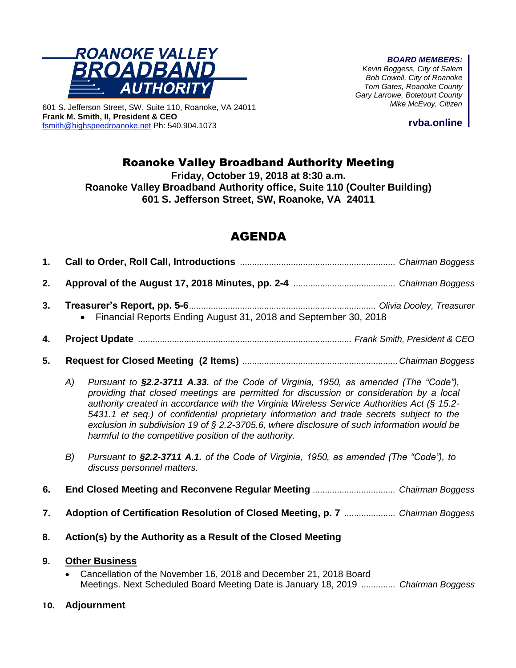

601 S. Jefferson Street, SW, Suite 110, Roanoke, VA 24011

**Frank M. Smith, II, President & CEO**

[fsmith@highspeedroanoke.net](mailto:fsmith@highspeedroanoke.net) Ph: 540.904.1073

*BOARD MEMBERS:*

*Kevin Boggess, City of Salem Bob Cowell, City of Roanoke Tom Gates, Roanoke County Gary Larrowe, Botetourt County Mike McEvoy, Citizen*

**rvba.online**

## Roanoke Valley Broadband Authority Meeting

**Friday, October 19, 2018 at 8:30 a.m. Roanoke Valley Broadband Authority office, Suite 110 (Coulter Building)**

**601 S. Jefferson Street, SW, Roanoke, VA 24011**

# AGENDA

| 1. |                                                                                                                                                                                                                                                                                                                                                                                                                                                                                                                                             |                                                                                                                     |  |  |  |  |
|----|---------------------------------------------------------------------------------------------------------------------------------------------------------------------------------------------------------------------------------------------------------------------------------------------------------------------------------------------------------------------------------------------------------------------------------------------------------------------------------------------------------------------------------------------|---------------------------------------------------------------------------------------------------------------------|--|--|--|--|
| 2. |                                                                                                                                                                                                                                                                                                                                                                                                                                                                                                                                             |                                                                                                                     |  |  |  |  |
| 3. |                                                                                                                                                                                                                                                                                                                                                                                                                                                                                                                                             | • Financial Reports Ending August 31, 2018 and September 30, 2018                                                   |  |  |  |  |
| 4. |                                                                                                                                                                                                                                                                                                                                                                                                                                                                                                                                             |                                                                                                                     |  |  |  |  |
| 5. |                                                                                                                                                                                                                                                                                                                                                                                                                                                                                                                                             |                                                                                                                     |  |  |  |  |
|    | Pursuant to §2.2-3711 A.33. of the Code of Virginia, 1950, as amended (The "Code"),<br>(A)<br>providing that closed meetings are permitted for discussion or consideration by a local<br>authority created in accordance with the Virginia Wireless Service Authorities Act ( $\S$ 15.2-<br>5431.1 et seq.) of confidential proprietary information and trade secrets subject to the<br>exclusion in subdivision 19 of § 2.2-3705.6, where disclosure of such information would be<br>harmful to the competitive position of the authority. |                                                                                                                     |  |  |  |  |
|    | B)                                                                                                                                                                                                                                                                                                                                                                                                                                                                                                                                          | Pursuant to §2.2-3711 A.1. of the Code of Virginia, 1950, as amended (The "Code"), to<br>discuss personnel matters. |  |  |  |  |
| 6. |                                                                                                                                                                                                                                                                                                                                                                                                                                                                                                                                             |                                                                                                                     |  |  |  |  |
| 7. |                                                                                                                                                                                                                                                                                                                                                                                                                                                                                                                                             | Adoption of Certification Resolution of Closed Meeting, p. 7  Chairman Boggess                                      |  |  |  |  |

**8. Action(s) by the Authority as a Result of the Closed Meeting**

#### **9. Other Business**

• Cancellation of the November 16, 2018 and December 21, 2018 Board Meetings. Next Scheduled Board Meeting Date is January 18, 2019 *.............. Chairman Boggess*

#### **10. Adjournment**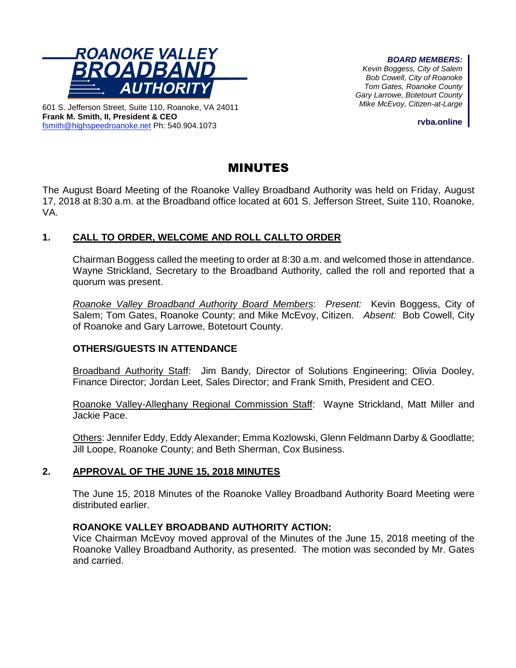

601 S. Jefferson Street, Suite 110, Roanoke, VA 24011 **Frank M. Smith, II, President & CEO** [fsmith@highspeedroanoke.net](mailto:fsmith@highspeedroanoke.net) Ph: 540.904.1073

#### *BOARD MEMBERS:*

*Kevin Boggess, City of Salem Bob Cowell, City of Roanoke Tom Gates, Roanoke County Gary Larrowe, Botetourt County Mike McEvoy, Citizen-at-Large*

**rvba.online**

## MINUTES

The August Board Meeting of the Roanoke Valley Broadband Authority was held on Friday, August 17, 2018 at 8:30 a.m. at the Broadband office located at 601 S. Jefferson Street, Suite 110, Roanoke, VA.

## **1. CALL TO ORDER, WELCOME AND ROLL CALLTO ORDER**

Chairman Boggess called the meeting to order at 8:30 a.m. and welcomed those in attendance. Wayne Strickland, Secretary to the Broadband Authority, called the roll and reported that a quorum was present.

*Roanoke Valley Broadband Authority Board Members*: *Present:* Kevin Boggess, City of Salem; Tom Gates, Roanoke County; and Mike McEvoy, Citizen. *Absent:* Bob Cowell, City of Roanoke and Gary Larrowe, Botetourt County.

#### **OTHERS/GUESTS IN ATTENDANCE**

Broadband Authority Staff: Jim Bandy, Director of Solutions Engineering; Olivia Dooley, Finance Director; Jordan Leet, Sales Director; and Frank Smith, President and CEO.

Roanoke Valley-Alleghany Regional Commission Staff: Wayne Strickland, Matt Miller and Jackie Pace.

Others: Jennifer Eddy, Eddy Alexander; Emma Kozlowski, Glenn Feldmann Darby & Goodlatte; Jill Loope, Roanoke County; and Beth Sherman, Cox Business.

#### **2. APPROVAL OF THE JUNE 15, 2018 MINUTES**

The June 15, 2018 Minutes of the Roanoke Valley Broadband Authority Board Meeting were distributed earlier.

#### **ROANOKE VALLEY BROADBAND AUTHORITY ACTION:**

Vice Chairman McEvoy moved approval of the Minutes of the June 15, 2018 meeting of the Roanoke Valley Broadband Authority, as presented. The motion was seconded by Mr. Gates and carried.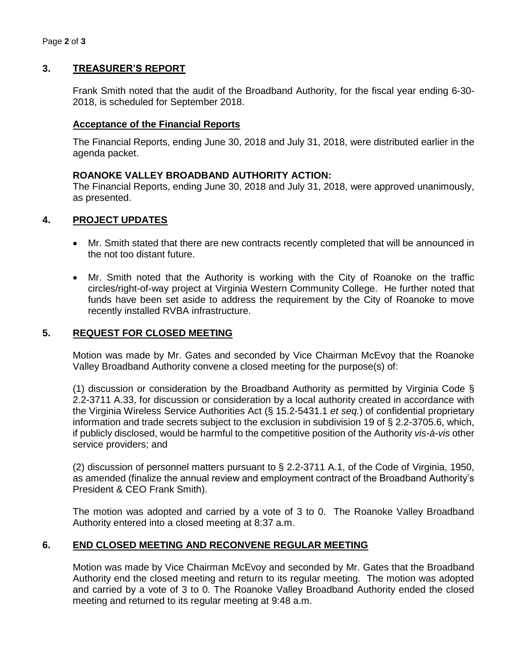### **3. TREASURER'S REPORT**

Frank Smith noted that the audit of the Broadband Authority, for the fiscal year ending 6-30- 2018, is scheduled for September 2018.

#### **Acceptance of the Financial Reports**

The Financial Reports, ending June 30, 2018 and July 31, 2018, were distributed earlier in the agenda packet.

#### **ROANOKE VALLEY BROADBAND AUTHORITY ACTION:**

The Financial Reports, ending June 30, 2018 and July 31, 2018, were approved unanimously, as presented.

#### **4. PROJECT UPDATES**

- Mr. Smith stated that there are new contracts recently completed that will be announced in the not too distant future.
- Mr. Smith noted that the Authority is working with the City of Roanoke on the traffic circles/right-of-way project at Virginia Western Community College. He further noted that funds have been set aside to address the requirement by the City of Roanoke to move recently installed RVBA infrastructure.

#### **5. REQUEST FOR CLOSED MEETING**

Motion was made by Mr. Gates and seconded by Vice Chairman McEvoy that the Roanoke Valley Broadband Authority convene a closed meeting for the purpose(s) of:

(1) discussion or consideration by the Broadband Authority as permitted by Virginia Code § 2.2-3711 A.33, for discussion or consideration by a local authority created in accordance with the Virginia Wireless Service Authorities Act (§ 15.2-5431.1 *et seq.*) of confidential proprietary information and trade secrets subject to the exclusion in subdivision 19 of § 2.2-3705.6, which, if publicly disclosed, would be harmful to the competitive position of the Authority *vis-à-vis* other service providers; and

(2) discussion of personnel matters pursuant to § 2.2-3711 A.1, of the Code of Virginia, 1950, as amended (finalize the annual review and employment contract of the Broadband Authority's President & CEO Frank Smith).

The motion was adopted and carried by a vote of 3 to 0. The Roanoke Valley Broadband Authority entered into a closed meeting at 8:37 a.m.

#### **6. END CLOSED MEETING AND RECONVENE REGULAR MEETING**

Motion was made by Vice Chairman McEvoy and seconded by Mr. Gates that the Broadband Authority end the closed meeting and return to its regular meeting. The motion was adopted and carried by a vote of 3 to 0. The Roanoke Valley Broadband Authority ended the closed meeting and returned to its regular meeting at 9:48 a.m.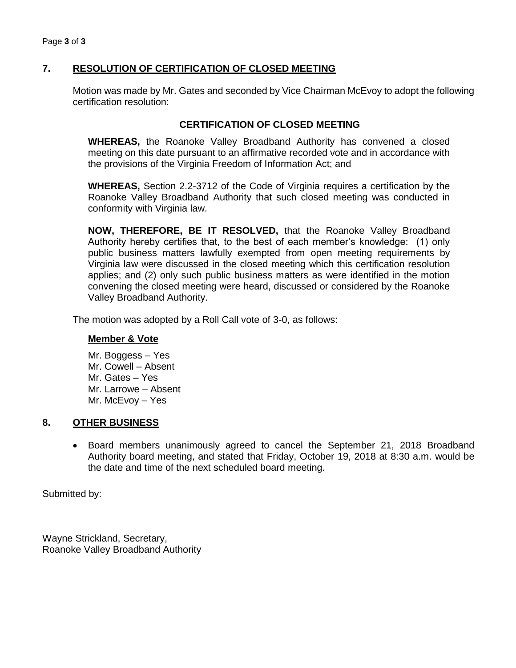## **7. RESOLUTION OF CERTIFICATION OF CLOSED MEETING**

Motion was made by Mr. Gates and seconded by Vice Chairman McEvoy to adopt the following certification resolution:

#### **CERTIFICATION OF CLOSED MEETING**

**WHEREAS,** the Roanoke Valley Broadband Authority has convened a closed meeting on this date pursuant to an affirmative recorded vote and in accordance with the provisions of the Virginia Freedom of Information Act; and

**WHEREAS,** Section 2.2-3712 of the Code of Virginia requires a certification by the Roanoke Valley Broadband Authority that such closed meeting was conducted in conformity with Virginia law.

**NOW, THEREFORE, BE IT RESOLVED,** that the Roanoke Valley Broadband Authority hereby certifies that, to the best of each member's knowledge: (1) only public business matters lawfully exempted from open meeting requirements by Virginia law were discussed in the closed meeting which this certification resolution applies; and (2) only such public business matters as were identified in the motion convening the closed meeting were heard, discussed or considered by the Roanoke Valley Broadband Authority.

The motion was adopted by a Roll Call vote of 3-0, as follows:

#### **Member & Vote**

Mr. Boggess – Yes Mr. Cowell – Absent Mr. Gates – Yes Mr. Larrowe – Absent Mr. McEvoy – Yes

#### **8. OTHER BUSINESS**

• Board members unanimously agreed to cancel the September 21, 2018 Broadband Authority board meeting, and stated that Friday, October 19, 2018 at 8:30 a.m. would be the date and time of the next scheduled board meeting.

Submitted by:

Wayne Strickland, Secretary, Roanoke Valley Broadband Authority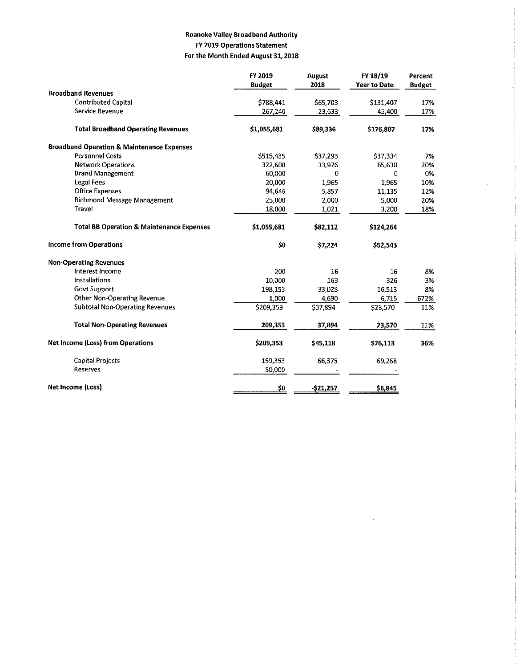#### **Roanoke Valley Broadband Authority** FY 2019 Operations Statement For the Month Ended August 31, 2018

|                                                       | FY 2019       | <b>August</b> | FY 18/19            | Percent       |
|-------------------------------------------------------|---------------|---------------|---------------------|---------------|
|                                                       | <b>Budget</b> | 2018          | <b>Year to Date</b> | <b>Budget</b> |
| <b>Broadband Revenues</b>                             |               |               |                     |               |
| <b>Contributed Capital</b>                            | \$788,441     | \$65,703      | \$131,407           | 17%           |
| Service Revenue                                       | 267.240       | 23,633        | 45,400              | 17%           |
| <b>Total Broadband Operating Revenues</b>             | \$1,055,681   | \$89,336      | \$176,807           | 17%           |
| <b>Broadband Operation &amp; Maintenance Expenses</b> |               |               |                     |               |
| <b>Personnel Costs</b>                                | \$515.435     | \$37,293      | \$37,334            | 7%            |
| <b>Network Operations</b>                             | 322,600       | 33,976        | 65,630              | 20%           |
| <b>Brand Management</b>                               | 60.000        | 0             | 0                   | 0%            |
| Legal Fees                                            | 20,000        | 1.965         | 1,965               | 10%           |
| Office Expenses                                       | 94,646        | 5.857         | 11,135              | 12%           |
| <b>Richmond Message Management</b>                    | 25,000        | 2,000         | 5,000               | 20%           |
| Travel                                                | 18,000        | 1.021         | 3,200               | 18%           |
| <b>Total BB Operation &amp; Maintenance Expenses</b>  | \$1,055.681   | \$82,112      | \$124,264           |               |
| <b>Income from Operations</b>                         | \$0           | \$7,224       | \$52,543            |               |
| <b>Non-Operating Revenues</b>                         |               |               |                     |               |
| Interest Income                                       | 200           | 16            | 16                  | 8%            |
| <b>Installations</b>                                  | 10,000        | 163           | 326                 | 3%            |
| <b>Govt Support</b>                                   | 198,153       | 33 0 25       | 16,513              | 8%            |
| <b>Other Non-Operating Revenue</b>                    | 1,000         | 4,690         | 6,715               | 672%          |
| <b>Subtotal Non-Operating Revenues</b>                | \$209,353     | \$37,894      | \$23,570            | 11%           |
| <b>Total Non-Operating Revenues</b>                   | 209,353       | 37,894        | 23,570              | 11%           |
| <b>Net Income (Loss) from Operations</b>              | \$209,353     | \$45,118      | \$76,113            | 36%           |
| <b>Capital Projects</b>                               | 159,353       | 66,375        | 69,268              |               |
| <b>Reserves</b>                                       | 50,000        |               |                     |               |
| Net Income (Loss)                                     | \$0           | $-521,257$    | \$6,845             |               |

 $\hat{\mathcal{A}}$ 

 $\mathcal{A}^{\mathcal{A}}$ 

J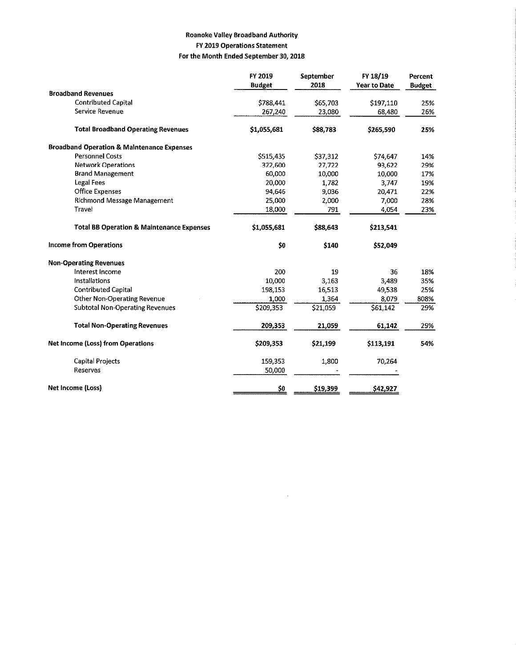#### **Roanoke Valley Broadband Authority** FY 2019 Operations Statement For the Month Ended September 30, 2018

|                                                       | FY 2019       | <b>September</b> | FY 18/19            | Percent       |
|-------------------------------------------------------|---------------|------------------|---------------------|---------------|
| <b>Broadband Revenues</b>                             | <b>Budget</b> | 2018             | <b>Year to Date</b> | <b>Budget</b> |
| <b>Contributed Capital</b>                            |               |                  |                     |               |
| Service Revenue                                       | \$788,441     | \$65,703         | \$197,110           | 25%<br>26%    |
|                                                       | 267.240       | 23,080           | 68,480              |               |
| <b>Total Broadband Operating Revenues</b>             | \$1,055,681   | \$88,783         | \$265,590           | 25%           |
| <b>Broadband Operation &amp; Maintenance Expenses</b> |               |                  |                     |               |
| <b>Personnel Costs</b>                                | \$515.435     | \$37.312         | \$74,647            | 14%           |
| <b>Network Operations</b>                             | 322,600       | 27,722           | 93,622              | 29%           |
| <b>Brand Management</b>                               | 60.000        | 10,000           | 10,000              | 17%           |
| <b>Legal Fees</b>                                     | 20,000        | 1.782            | 3,747               | 19%           |
| <b>Office Expenses</b>                                | 94,646        | 9.036            | 20,471              | 22%           |
| <b>Richmond Message Management</b>                    | 25,000        | 2,000            | 7,000               | 28%           |
| Travel                                                | 18,000        | 791              | 4,054               | 23%           |
| <b>Total BB Operation &amp; Maintenance Expenses</b>  | \$1,055,681   | \$88,643         | \$213,541           |               |
| <b>Income from Operations</b>                         | \$0           | \$140            | \$52,049            |               |
| <b>Non-Operating Revenues</b>                         |               |                  |                     |               |
| Interest Income                                       | 200           | 19               | 36                  | 18%           |
| Installations                                         | 10.000        | 3.163            | 3.489               | 35%           |
| <b>Contributed Capital</b>                            | 198,153       | 16,513           | 49,538              | 25%           |
| <b>Other Non-Operating Revenue</b>                    | 1,000         | 1,364            | 8,079               | 808%          |
| <b>Subtotal Non-Operating Revenues</b>                | \$209,353     | \$21,059         | \$61,142            | 29%           |
| <b>Total Non-Operating Revenues</b>                   | 209.353       | 21,059           | 61,142              | 29%           |
| <b>Net Income (Loss) from Operations</b>              | \$209,353     | \$21,199         | \$113,191           | 54%           |
| <b>Capital Projects</b>                               | 159,353       | 1.800            | 70,264              |               |
| Reserves                                              | 50,000        |                  |                     |               |
| Net Income (Loss)                                     | <u>\$0</u>    | \$19,399         | \$42,927            |               |

 $\mathcal{A}^{\mathcal{A}}$